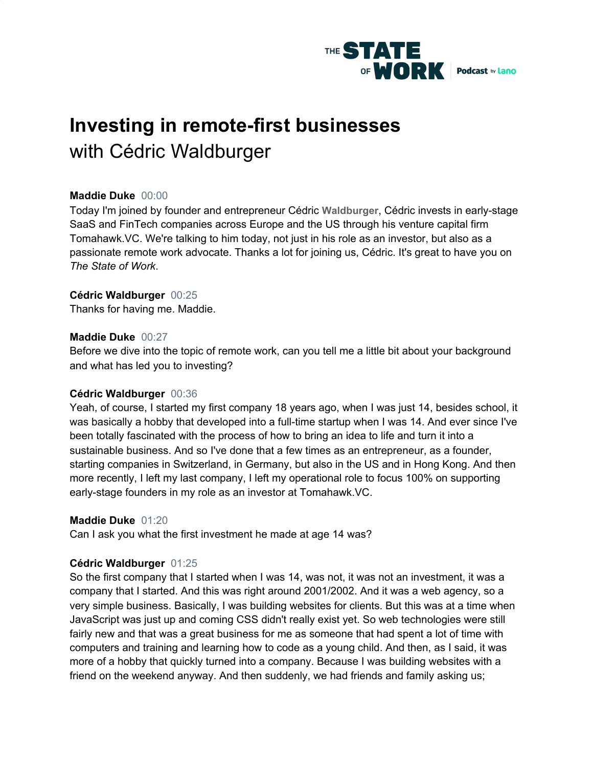

# **Investing in remote-first businesses** with Cédric Waldburger

# **Maddie Duke** 00:00

Today I'm joined by founder and entrepreneur Cédric **Waldburger**, Cédric invests in early-stage SaaS and FinTech companies across Europe and the US through his venture capital firm Tomahawk.VC. We're talking to him today, not just in his role as an investor, but also as a passionate remote work advocate. Thanks a lot for joining us, Cédric. It's great to have you on *The State of Work*.

# **Cédric Waldburger** 00:25

Thanks for having me. Maddie.

#### **Maddie Duke** 00:27

Before we dive into the topic of remote work, can you tell me a little bit about your background and what has led you to investing?

# **Cédric Waldburger** 00:36

Yeah, of course, I started my first company 18 years ago, when I was just 14, besides school, it was basically a hobby that developed into a full-time startup when I was 14. And ever since I've been totally fascinated with the process of how to bring an idea to life and turn it into a sustainable business. And so I've done that a few times as an entrepreneur, as a founder, starting companies in Switzerland, in Germany, but also in the US and in Hong Kong. And then more recently, I left my last company, I left my operational role to focus 100% on supporting early-stage founders in my role as an investor at Tomahawk.VC.

#### **Maddie Duke** 01:20

Can I ask you what the first investment he made at age 14 was?

# **Cédric Waldburger** 01:25

So the first company that I started when I was 14, was not, it was not an investment, it was a company that I started. And this was right around 2001/2002. And it was a web agency, so a very simple business. Basically, I was building websites for clients. But this was at a time when JavaScript was just up and coming CSS didn't really exist yet. So web technologies were still fairly new and that was a great business for me as someone that had spent a lot of time with computers and training and learning how to code as a young child. And then, as I said, it was more of a hobby that quickly turned into a company. Because I was building websites with a friend on the weekend anyway. And then suddenly, we had friends and family asking us;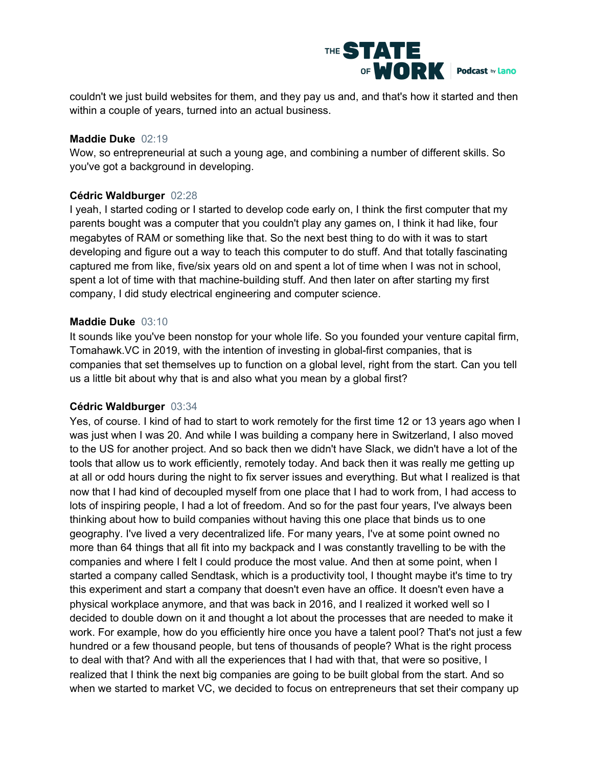

couldn't we just build websites for them, and they pay us and, and that's how it started and then within a couple of years, turned into an actual business.

#### **Maddie Duke** 02:19

Wow, so entrepreneurial at such a young age, and combining a number of different skills. So you've got a background in developing.

# **Cédric Waldburger** 02:28

I yeah, I started coding or I started to develop code early on, I think the first computer that my parents bought was a computer that you couldn't play any games on, I think it had like, four megabytes of RAM or something like that. So the next best thing to do with it was to start developing and figure out a way to teach this computer to do stuff. And that totally fascinating captured me from like, five/six years old on and spent a lot of time when I was not in school, spent a lot of time with that machine-building stuff. And then later on after starting my first company, I did study electrical engineering and computer science.

#### **Maddie Duke** 03:10

It sounds like you've been nonstop for your whole life. So you founded your venture capital firm, Tomahawk.VC in 2019, with the intention of investing in global-first companies, that is companies that set themselves up to function on a global level, right from the start. Can you tell us a little bit about why that is and also what you mean by a global first?

# **Cédric Waldburger** 03:34

Yes, of course. I kind of had to start to work remotely for the first time 12 or 13 years ago when I was just when I was 20. And while I was building a company here in Switzerland, I also moved to the US for another project. And so back then we didn't have Slack, we didn't have a lot of the tools that allow us to work efficiently, remotely today. And back then it was really me getting up at all or odd hours during the night to fix server issues and everything. But what I realized is that now that I had kind of decoupled myself from one place that I had to work from, I had access to lots of inspiring people, I had a lot of freedom. And so for the past four years, I've always been thinking about how to build companies without having this one place that binds us to one geography. I've lived a very decentralized life. For many years, I've at some point owned no more than 64 things that all fit into my backpack and I was constantly travelling to be with the companies and where I felt I could produce the most value. And then at some point, when I started a company called Sendtask, which is a productivity tool, I thought maybe it's time to try this experiment and start a company that doesn't even have an office. It doesn't even have a physical workplace anymore, and that was back in 2016, and I realized it worked well so I decided to double down on it and thought a lot about the processes that are needed to make it work. For example, how do you efficiently hire once you have a talent pool? That's not just a few hundred or a few thousand people, but tens of thousands of people? What is the right process to deal with that? And with all the experiences that I had with that, that were so positive, I realized that I think the next big companies are going to be built global from the start. And so when we started to market VC, we decided to focus on entrepreneurs that set their company up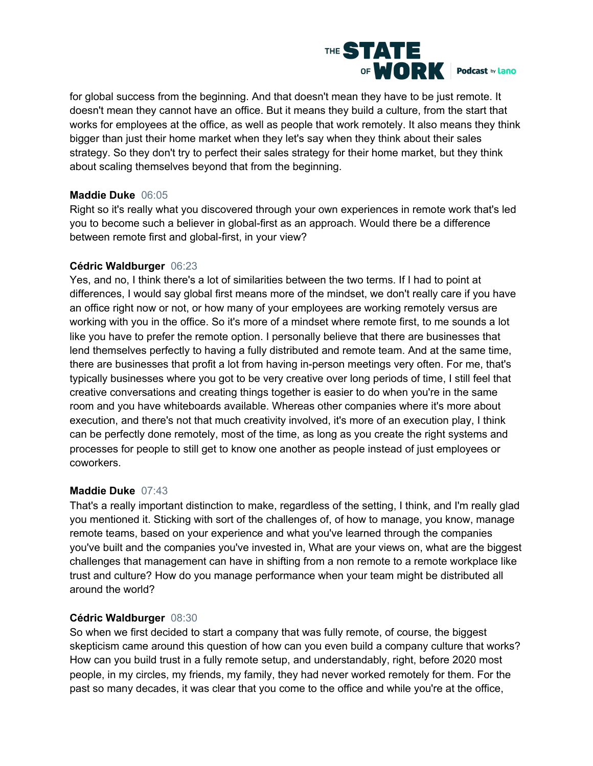

for global success from the beginning. And that doesn't mean they have to be just remote. It doesn't mean they cannot have an office. But it means they build a culture, from the start that works for employees at the office, as well as people that work remotely. It also means they think bigger than just their home market when they let's say when they think about their sales strategy. So they don't try to perfect their sales strategy for their home market, but they think about scaling themselves beyond that from the beginning.

# **Maddie Duke** 06:05

Right so it's really what you discovered through your own experiences in remote work that's led you to become such a believer in global-first as an approach. Would there be a difference between remote first and global-first, in your view?

# **Cédric Waldburger** 06:23

Yes, and no, I think there's a lot of similarities between the two terms. If I had to point at differences, I would say global first means more of the mindset, we don't really care if you have an office right now or not, or how many of your employees are working remotely versus are working with you in the office. So it's more of a mindset where remote first, to me sounds a lot like you have to prefer the remote option. I personally believe that there are businesses that lend themselves perfectly to having a fully distributed and remote team. And at the same time, there are businesses that profit a lot from having in-person meetings very often. For me, that's typically businesses where you got to be very creative over long periods of time, I still feel that creative conversations and creating things together is easier to do when you're in the same room and you have whiteboards available. Whereas other companies where it's more about execution, and there's not that much creativity involved, it's more of an execution play, I think can be perfectly done remotely, most of the time, as long as you create the right systems and processes for people to still get to know one another as people instead of just employees or coworkers.

# **Maddie Duke** 07:43

That's a really important distinction to make, regardless of the setting, I think, and I'm really glad you mentioned it. Sticking with sort of the challenges of, of how to manage, you know, manage remote teams, based on your experience and what you've learned through the companies you've built and the companies you've invested in, What are your views on, what are the biggest challenges that management can have in shifting from a non remote to a remote workplace like trust and culture? How do you manage performance when your team might be distributed all around the world?

# **Cédric Waldburger** 08:30

So when we first decided to start a company that was fully remote, of course, the biggest skepticism came around this question of how can you even build a company culture that works? How can you build trust in a fully remote setup, and understandably, right, before 2020 most people, in my circles, my friends, my family, they had never worked remotely for them. For the past so many decades, it was clear that you come to the office and while you're at the office,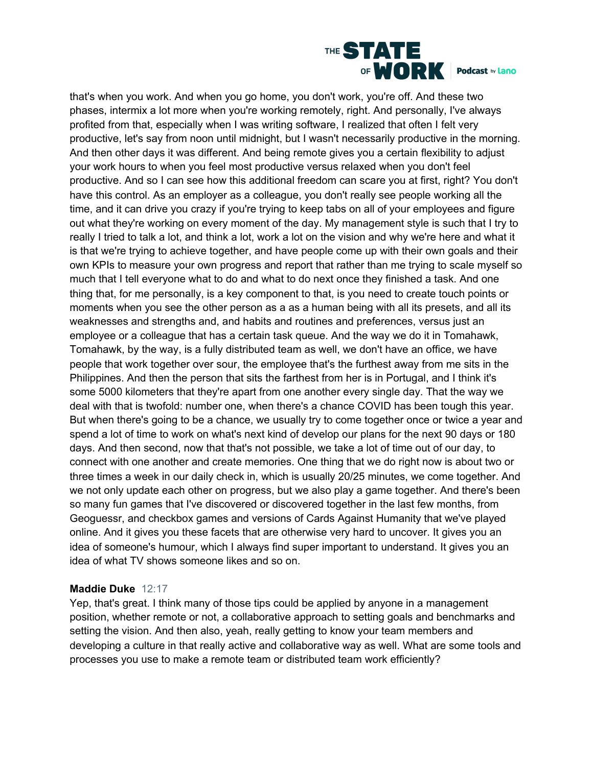

that's when you work. And when you go home, you don't work, you're off. And these two phases, intermix a lot more when you're working remotely, right. And personally, I've always profited from that, especially when I was writing software, I realized that often I felt very productive, let's say from noon until midnight, but I wasn't necessarily productive in the morning. And then other days it was different. And being remote gives you a certain flexibility to adjust your work hours to when you feel most productive versus relaxed when you don't feel productive. And so I can see how this additional freedom can scare you at first, right? You don't have this control. As an employer as a colleague, you don't really see people working all the time, and it can drive you crazy if you're trying to keep tabs on all of your employees and figure out what they're working on every moment of the day. My management style is such that I try to really I tried to talk a lot, and think a lot, work a lot on the vision and why we're here and what it is that we're trying to achieve together, and have people come up with their own goals and their own KPIs to measure your own progress and report that rather than me trying to scale myself so much that I tell everyone what to do and what to do next once they finished a task. And one thing that, for me personally, is a key component to that, is you need to create touch points or moments when you see the other person as a as a human being with all its presets, and all its weaknesses and strengths and, and habits and routines and preferences, versus just an employee or a colleague that has a certain task queue. And the way we do it in Tomahawk, Tomahawk, by the way, is a fully distributed team as well, we don't have an office, we have people that work together over sour, the employee that's the furthest away from me sits in the Philippines. And then the person that sits the farthest from her is in Portugal, and I think it's some 5000 kilometers that they're apart from one another every single day. That the way we deal with that is twofold: number one, when there's a chance COVID has been tough this year. But when there's going to be a chance, we usually try to come together once or twice a year and spend a lot of time to work on what's next kind of develop our plans for the next 90 days or 180 days. And then second, now that that's not possible, we take a lot of time out of our day, to connect with one another and create memories. One thing that we do right now is about two or three times a week in our daily check in, which is usually 20/25 minutes, we come together. And we not only update each other on progress, but we also play a game together. And there's been so many fun games that I've discovered or discovered together in the last few months, from Geoguessr, and checkbox games and versions of Cards Against Humanity that we've played online. And it gives you these facets that are otherwise very hard to uncover. It gives you an idea of someone's humour, which I always find super important to understand. It gives you an idea of what TV shows someone likes and so on.

#### **Maddie Duke** 12:17

Yep, that's great. I think many of those tips could be applied by anyone in a management position, whether remote or not, a collaborative approach to setting goals and benchmarks and setting the vision. And then also, yeah, really getting to know your team members and developing a culture in that really active and collaborative way as well. What are some tools and processes you use to make a remote team or distributed team work efficiently?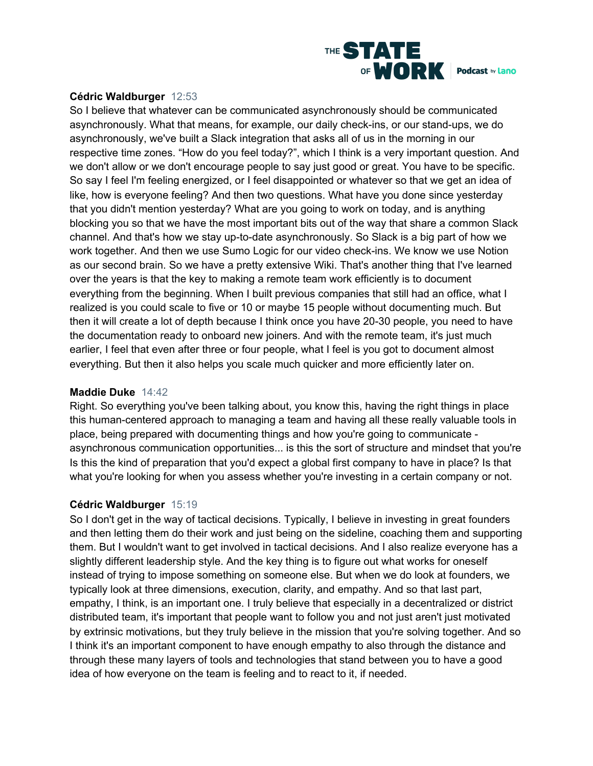

#### **Cédric Waldburger** 12:53

So I believe that whatever can be communicated asynchronously should be communicated asynchronously. What that means, for example, our daily check-ins, or our stand-ups, we do asynchronously, we've built a Slack integration that asks all of us in the morning in our respective time zones. "How do you feel today?", which I think is a very important question. And we don't allow or we don't encourage people to say just good or great. You have to be specific. So say I feel I'm feeling energized, or I feel disappointed or whatever so that we get an idea of like, how is everyone feeling? And then two questions. What have you done since yesterday that you didn't mention yesterday? What are you going to work on today, and is anything blocking you so that we have the most important bits out of the way that share a common Slack channel. And that's how we stay up-to-date asynchronously. So Slack is a big part of how we work together. And then we use Sumo Logic for our video check-ins. We know we use Notion as our second brain. So we have a pretty extensive Wiki. That's another thing that I've learned over the years is that the key to making a remote team work efficiently is to document everything from the beginning. When I built previous companies that still had an office, what I realized is you could scale to five or 10 or maybe 15 people without documenting much. But then it will create a lot of depth because I think once you have 20-30 people, you need to have the documentation ready to onboard new joiners. And with the remote team, it's just much earlier, I feel that even after three or four people, what I feel is you got to document almost everything. But then it also helps you scale much quicker and more efficiently later on.

#### **Maddie Duke** 14:42

Right. So everything you've been talking about, you know this, having the right things in place this human-centered approach to managing a team and having all these really valuable tools in place, being prepared with documenting things and how you're going to communicate asynchronous communication opportunities... is this the sort of structure and mindset that you're Is this the kind of preparation that you'd expect a global first company to have in place? Is that what you're looking for when you assess whether you're investing in a certain company or not.

# **Cédric Waldburger** 15:19

So I don't get in the way of tactical decisions. Typically, I believe in investing in great founders and then letting them do their work and just being on the sideline, coaching them and supporting them. But I wouldn't want to get involved in tactical decisions. And I also realize everyone has a slightly different leadership style. And the key thing is to figure out what works for oneself instead of trying to impose something on someone else. But when we do look at founders, we typically look at three dimensions, execution, clarity, and empathy. And so that last part, empathy, I think, is an important one. I truly believe that especially in a decentralized or district distributed team, it's important that people want to follow you and not just aren't just motivated by extrinsic motivations, but they truly believe in the mission that you're solving together. And so I think it's an important component to have enough empathy to also through the distance and through these many layers of tools and technologies that stand between you to have a good idea of how everyone on the team is feeling and to react to it, if needed.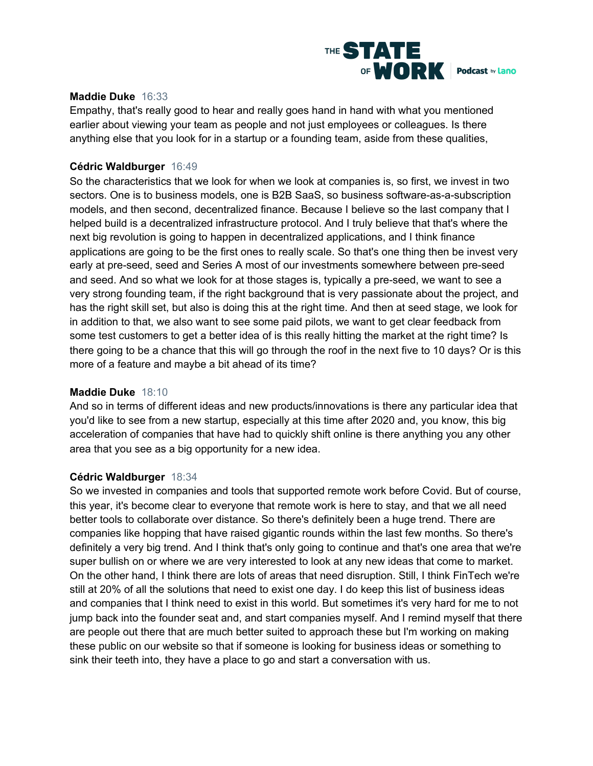

#### **Maddie Duke** 16:33

Empathy, that's really good to hear and really goes hand in hand with what you mentioned earlier about viewing your team as people and not just employees or colleagues. Is there anything else that you look for in a startup or a founding team, aside from these qualities,

#### **Cédric Waldburger** 16:49

So the characteristics that we look for when we look at companies is, so first, we invest in two sectors. One is to business models, one is B2B SaaS, so business software-as-a-subscription models, and then second, decentralized finance. Because I believe so the last company that I helped build is a decentralized infrastructure protocol. And I truly believe that that's where the next big revolution is going to happen in decentralized applications, and I think finance applications are going to be the first ones to really scale. So that's one thing then be invest very early at pre-seed, seed and Series A most of our investments somewhere between pre-seed and seed. And so what we look for at those stages is, typically a pre-seed, we want to see a very strong founding team, if the right background that is very passionate about the project, and has the right skill set, but also is doing this at the right time. And then at seed stage, we look for in addition to that, we also want to see some paid pilots, we want to get clear feedback from some test customers to get a better idea of is this really hitting the market at the right time? Is there going to be a chance that this will go through the roof in the next five to 10 days? Or is this more of a feature and maybe a bit ahead of its time?

#### **Maddie Duke** 18:10

And so in terms of different ideas and new products/innovations is there any particular idea that you'd like to see from a new startup, especially at this time after 2020 and, you know, this big acceleration of companies that have had to quickly shift online is there anything you any other area that you see as a big opportunity for a new idea.

#### **Cédric Waldburger** 18:34

So we invested in companies and tools that supported remote work before Covid. But of course, this year, it's become clear to everyone that remote work is here to stay, and that we all need better tools to collaborate over distance. So there's definitely been a huge trend. There are companies like hopping that have raised gigantic rounds within the last few months. So there's definitely a very big trend. And I think that's only going to continue and that's one area that we're super bullish on or where we are very interested to look at any new ideas that come to market. On the other hand, I think there are lots of areas that need disruption. Still, I think FinTech we're still at 20% of all the solutions that need to exist one day. I do keep this list of business ideas and companies that I think need to exist in this world. But sometimes it's very hard for me to not jump back into the founder seat and, and start companies myself. And I remind myself that there are people out there that are much better suited to approach these but I'm working on making these public on our website so that if someone is looking for business ideas or something to sink their teeth into, they have a place to go and start a conversation with us.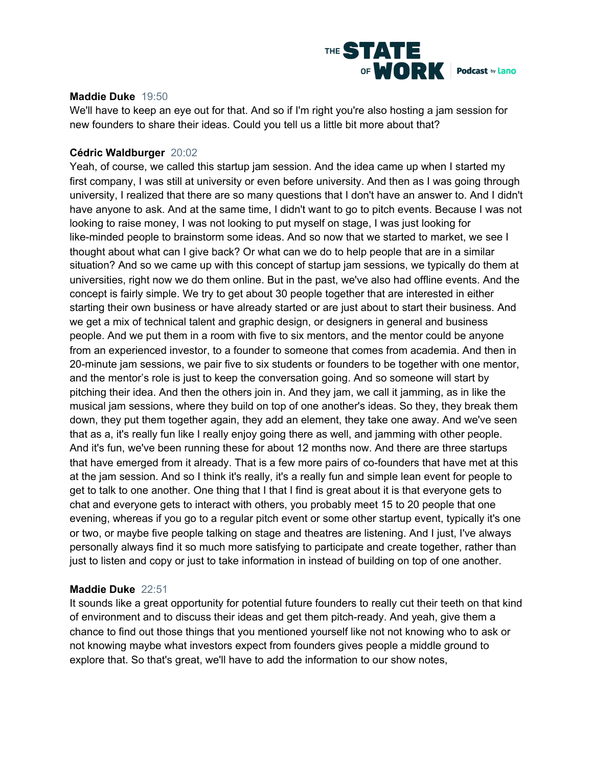

#### **Maddie Duke** 19:50

We'll have to keep an eye out for that. And so if I'm right you're also hosting a jam session for new founders to share their ideas. Could you tell us a little bit more about that?

#### **Cédric Waldburger** 20:02

Yeah, of course, we called this startup jam session. And the idea came up when I started my first company, I was still at university or even before university. And then as I was going through university, I realized that there are so many questions that I don't have an answer to. And I didn't have anyone to ask. And at the same time, I didn't want to go to pitch events. Because I was not looking to raise money, I was not looking to put myself on stage, I was just looking for like-minded people to brainstorm some ideas. And so now that we started to market, we see I thought about what can I give back? Or what can we do to help people that are in a similar situation? And so we came up with this concept of startup jam sessions, we typically do them at universities, right now we do them online. But in the past, we've also had offline events. And the concept is fairly simple. We try to get about 30 people together that are interested in either starting their own business or have already started or are just about to start their business. And we get a mix of technical talent and graphic design, or designers in general and business people. And we put them in a room with five to six mentors, and the mentor could be anyone from an experienced investor, to a founder to someone that comes from academia. And then in 20-minute jam sessions, we pair five to six students or founders to be together with one mentor, and the mentor's role is just to keep the conversation going. And so someone will start by pitching their idea. And then the others join in. And they jam, we call it jamming, as in like the musical jam sessions, where they build on top of one another's ideas. So they, they break them down, they put them together again, they add an element, they take one away. And we've seen that as a, it's really fun like I really enjoy going there as well, and jamming with other people. And it's fun, we've been running these for about 12 months now. And there are three startups that have emerged from it already. That is a few more pairs of co-founders that have met at this at the jam session. And so I think it's really, it's a really fun and simple lean event for people to get to talk to one another. One thing that I that I find is great about it is that everyone gets to chat and everyone gets to interact with others, you probably meet 15 to 20 people that one evening, whereas if you go to a regular pitch event or some other startup event, typically it's one or two, or maybe five people talking on stage and theatres are listening. And I just, I've always personally always find it so much more satisfying to participate and create together, rather than just to listen and copy or just to take information in instead of building on top of one another.

#### **Maddie Duke** 22:51

It sounds like a great opportunity for potential future founders to really cut their teeth on that kind of environment and to discuss their ideas and get them pitch-ready. And yeah, give them a chance to find out those things that you mentioned yourself like not not knowing who to ask or not knowing maybe what investors expect from founders gives people a middle ground to explore that. So that's great, we'll have to add the information to our show notes,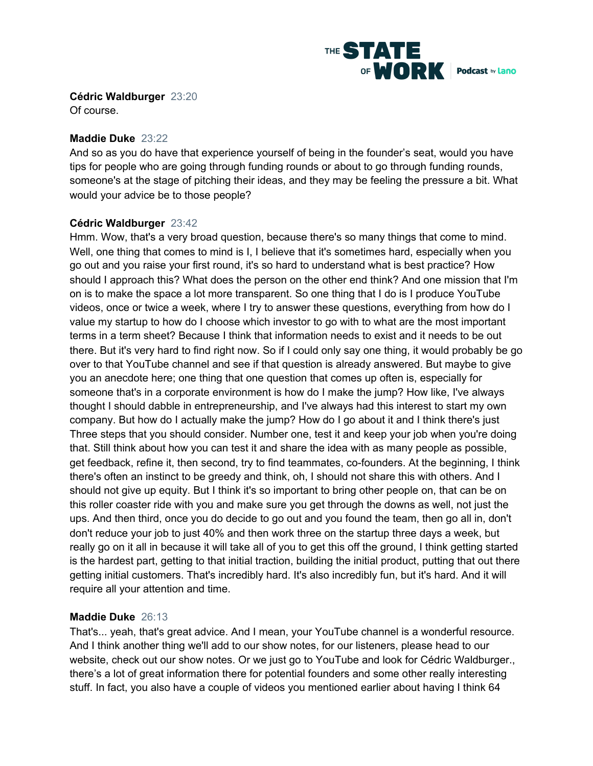

**Cédric Waldburger** 23:20

Of course.

# **Maddie Duke** 23:22

And so as you do have that experience yourself of being in the founder's seat, would you have tips for people who are going through funding rounds or about to go through funding rounds, someone's at the stage of pitching their ideas, and they may be feeling the pressure a bit. What would your advice be to those people?

# **Cédric Waldburger** 23:42

Hmm. Wow, that's a very broad question, because there's so many things that come to mind. Well, one thing that comes to mind is I, I believe that it's sometimes hard, especially when you go out and you raise your first round, it's so hard to understand what is best practice? How should I approach this? What does the person on the other end think? And one mission that I'm on is to make the space a lot more transparent. So one thing that I do is I produce YouTube videos, once or twice a week, where I try to answer these questions, everything from how do I value my startup to how do I choose which investor to go with to what are the most important terms in a term sheet? Because I think that information needs to exist and it needs to be out there. But it's very hard to find right now. So if I could only say one thing, it would probably be go over to that YouTube channel and see if that question is already answered. But maybe to give you an anecdote here; one thing that one question that comes up often is, especially for someone that's in a corporate environment is how do I make the jump? How like, I've always thought I should dabble in entrepreneurship, and I've always had this interest to start my own company. But how do I actually make the jump? How do I go about it and I think there's just Three steps that you should consider. Number one, test it and keep your job when you're doing that. Still think about how you can test it and share the idea with as many people as possible, get feedback, refine it, then second, try to find teammates, co-founders. At the beginning, I think there's often an instinct to be greedy and think, oh, I should not share this with others. And I should not give up equity. But I think it's so important to bring other people on, that can be on this roller coaster ride with you and make sure you get through the downs as well, not just the ups. And then third, once you do decide to go out and you found the team, then go all in, don't don't reduce your job to just 40% and then work three on the startup three days a week, but really go on it all in because it will take all of you to get this off the ground, I think getting started is the hardest part, getting to that initial traction, building the initial product, putting that out there getting initial customers. That's incredibly hard. It's also incredibly fun, but it's hard. And it will require all your attention and time.

# **Maddie Duke** 26:13

That's... yeah, that's great advice. And I mean, your YouTube channel is a wonderful resource. And I think another thing we'll add to our show notes, for our listeners, please head to our website, check out our show notes. Or we just go to YouTube and look for Cédric Waldburger., there's a lot of great information there for potential founders and some other really interesting stuff. In fact, you also have a couple of videos you mentioned earlier about having I think 64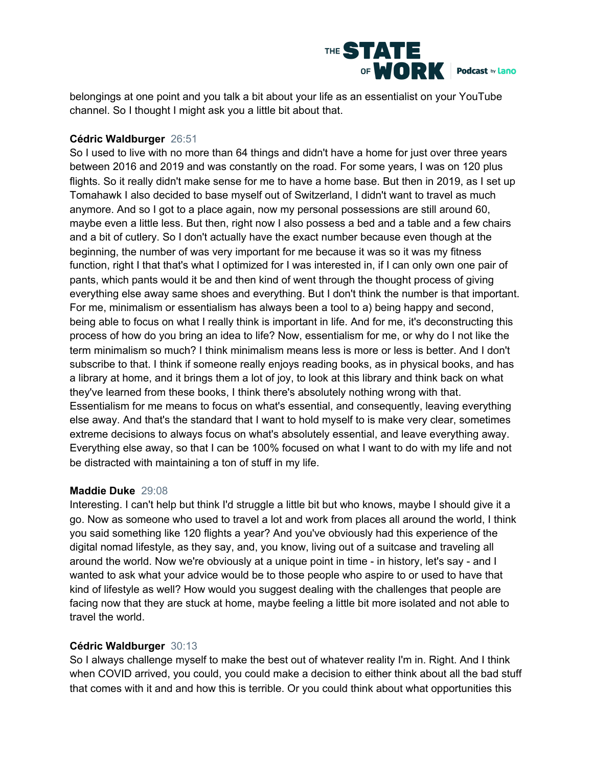

belongings at one point and you talk a bit about your life as an essentialist on your YouTube channel. So I thought I might ask you a little bit about that.

# **Cédric Waldburger** 26:51

So I used to live with no more than 64 things and didn't have a home for just over three years between 2016 and 2019 and was constantly on the road. For some years, I was on 120 plus flights. So it really didn't make sense for me to have a home base. But then in 2019, as I set up Tomahawk I also decided to base myself out of Switzerland, I didn't want to travel as much anymore. And so I got to a place again, now my personal possessions are still around 60, maybe even a little less. But then, right now I also possess a bed and a table and a few chairs and a bit of cutlery. So I don't actually have the exact number because even though at the beginning, the number of was very important for me because it was so it was my fitness function, right I that that's what I optimized for I was interested in, if I can only own one pair of pants, which pants would it be and then kind of went through the thought process of giving everything else away same shoes and everything. But I don't think the number is that important. For me, minimalism or essentialism has always been a tool to a) being happy and second, being able to focus on what I really think is important in life. And for me, it's deconstructing this process of how do you bring an idea to life? Now, essentialism for me, or why do I not like the term minimalism so much? I think minimalism means less is more or less is better. And I don't subscribe to that. I think if someone really enjoys reading books, as in physical books, and has a library at home, and it brings them a lot of joy, to look at this library and think back on what they've learned from these books, I think there's absolutely nothing wrong with that. Essentialism for me means to focus on what's essential, and consequently, leaving everything else away. And that's the standard that I want to hold myself to is make very clear, sometimes extreme decisions to always focus on what's absolutely essential, and leave everything away. Everything else away, so that I can be 100% focused on what I want to do with my life and not be distracted with maintaining a ton of stuff in my life.

# **Maddie Duke** 29:08

Interesting. I can't help but think I'd struggle a little bit but who knows, maybe I should give it a go. Now as someone who used to travel a lot and work from places all around the world, I think you said something like 120 flights a year? And you've obviously had this experience of the digital nomad lifestyle, as they say, and, you know, living out of a suitcase and traveling all around the world. Now we're obviously at a unique point in time - in history, let's say - and I wanted to ask what your advice would be to those people who aspire to or used to have that kind of lifestyle as well? How would you suggest dealing with the challenges that people are facing now that they are stuck at home, maybe feeling a little bit more isolated and not able to travel the world.

# **Cédric Waldburger** 30:13

So I always challenge myself to make the best out of whatever reality I'm in. Right. And I think when COVID arrived, you could, you could make a decision to either think about all the bad stuff that comes with it and and how this is terrible. Or you could think about what opportunities this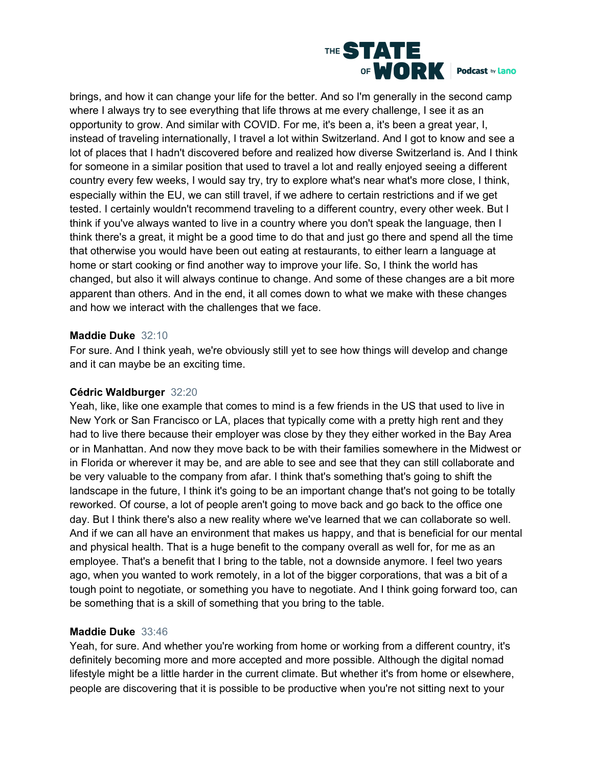

brings, and how it can change your life for the better. And so I'm generally in the second camp where I always try to see everything that life throws at me every challenge, I see it as an opportunity to grow. And similar with COVID. For me, it's been a, it's been a great year, I, instead of traveling internationally, I travel a lot within Switzerland. And I got to know and see a lot of places that I hadn't discovered before and realized how diverse Switzerland is. And I think for someone in a similar position that used to travel a lot and really enjoyed seeing a different country every few weeks, I would say try, try to explore what's near what's more close, I think, especially within the EU, we can still travel, if we adhere to certain restrictions and if we get tested. I certainly wouldn't recommend traveling to a different country, every other week. But I think if you've always wanted to live in a country where you don't speak the language, then I think there's a great, it might be a good time to do that and just go there and spend all the time that otherwise you would have been out eating at restaurants, to either learn a language at home or start cooking or find another way to improve your life. So, I think the world has changed, but also it will always continue to change. And some of these changes are a bit more apparent than others. And in the end, it all comes down to what we make with these changes and how we interact with the challenges that we face.

#### **Maddie Duke** 32:10

For sure. And I think yeah, we're obviously still yet to see how things will develop and change and it can maybe be an exciting time.

# **Cédric Waldburger** 32:20

Yeah, like, like one example that comes to mind is a few friends in the US that used to live in New York or San Francisco or LA, places that typically come with a pretty high rent and they had to live there because their employer was close by they they either worked in the Bay Area or in Manhattan. And now they move back to be with their families somewhere in the Midwest or in Florida or wherever it may be, and are able to see and see that they can still collaborate and be very valuable to the company from afar. I think that's something that's going to shift the landscape in the future, I think it's going to be an important change that's not going to be totally reworked. Of course, a lot of people aren't going to move back and go back to the office one day. But I think there's also a new reality where we've learned that we can collaborate so well. And if we can all have an environment that makes us happy, and that is beneficial for our mental and physical health. That is a huge benefit to the company overall as well for, for me as an employee. That's a benefit that I bring to the table, not a downside anymore. I feel two years ago, when you wanted to work remotely, in a lot of the bigger corporations, that was a bit of a tough point to negotiate, or something you have to negotiate. And I think going forward too, can be something that is a skill of something that you bring to the table.

# **Maddie Duke** 33:46

Yeah, for sure. And whether you're working from home or working from a different country, it's definitely becoming more and more accepted and more possible. Although the digital nomad lifestyle might be a little harder in the current climate. But whether it's from home or elsewhere, people are discovering that it is possible to be productive when you're not sitting next to your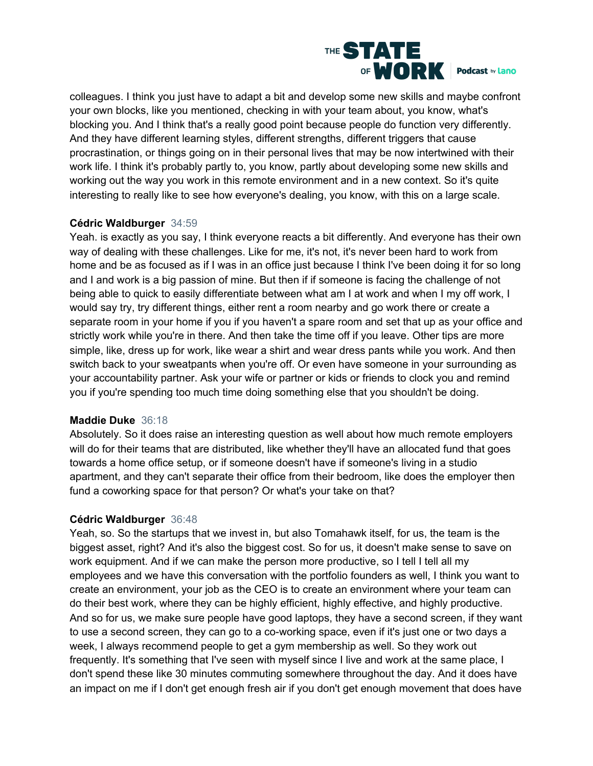

colleagues. I think you just have to adapt a bit and develop some new skills and maybe confront your own blocks, like you mentioned, checking in with your team about, you know, what's blocking you. And I think that's a really good point because people do function very differently. And they have different learning styles, different strengths, different triggers that cause procrastination, or things going on in their personal lives that may be now intertwined with their work life. I think it's probably partly to, you know, partly about developing some new skills and working out the way you work in this remote environment and in a new context. So it's quite interesting to really like to see how everyone's dealing, you know, with this on a large scale.

#### **Cédric Waldburger** 34:59

Yeah. is exactly as you say, I think everyone reacts a bit differently. And everyone has their own way of dealing with these challenges. Like for me, it's not, it's never been hard to work from home and be as focused as if I was in an office just because I think I've been doing it for so long and I and work is a big passion of mine. But then if if someone is facing the challenge of not being able to quick to easily differentiate between what am I at work and when I my off work, I would say try, try different things, either rent a room nearby and go work there or create a separate room in your home if you if you haven't a spare room and set that up as your office and strictly work while you're in there. And then take the time off if you leave. Other tips are more simple, like, dress up for work, like wear a shirt and wear dress pants while you work. And then switch back to your sweatpants when you're off. Or even have someone in your surrounding as your accountability partner. Ask your wife or partner or kids or friends to clock you and remind you if you're spending too much time doing something else that you shouldn't be doing.

# **Maddie Duke** 36:18

Absolutely. So it does raise an interesting question as well about how much remote employers will do for their teams that are distributed, like whether they'll have an allocated fund that goes towards a home office setup, or if someone doesn't have if someone's living in a studio apartment, and they can't separate their office from their bedroom, like does the employer then fund a coworking space for that person? Or what's your take on that?

# **Cédric Waldburger** 36:48

Yeah, so. So the startups that we invest in, but also Tomahawk itself, for us, the team is the biggest asset, right? And it's also the biggest cost. So for us, it doesn't make sense to save on work equipment. And if we can make the person more productive, so I tell I tell all my employees and we have this conversation with the portfolio founders as well, I think you want to create an environment, your job as the CEO is to create an environment where your team can do their best work, where they can be highly efficient, highly effective, and highly productive. And so for us, we make sure people have good laptops, they have a second screen, if they want to use a second screen, they can go to a co-working space, even if it's just one or two days a week, I always recommend people to get a gym membership as well. So they work out frequently. It's something that I've seen with myself since I live and work at the same place, I don't spend these like 30 minutes commuting somewhere throughout the day. And it does have an impact on me if I don't get enough fresh air if you don't get enough movement that does have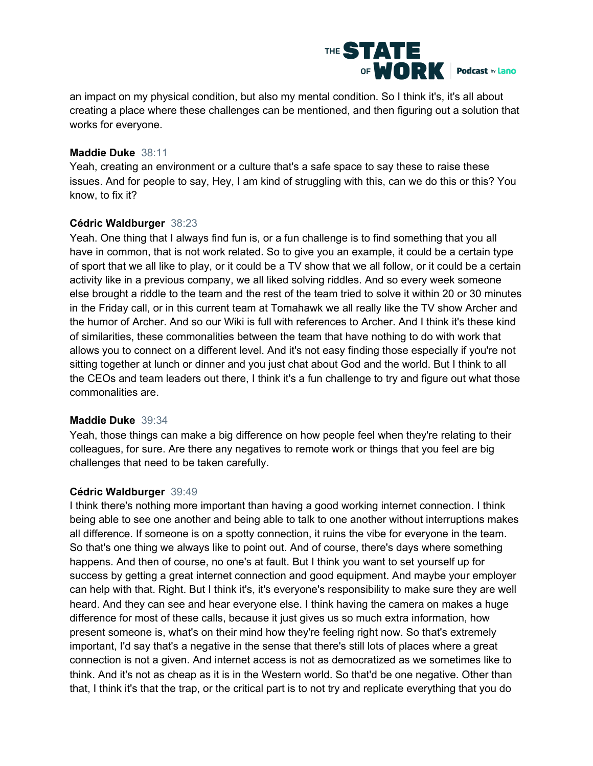

an impact on my physical condition, but also my mental condition. So I think it's, it's all about creating a place where these challenges can be mentioned, and then figuring out a solution that works for everyone.

#### **Maddie Duke** 38:11

Yeah, creating an environment or a culture that's a safe space to say these to raise these issues. And for people to say, Hey, I am kind of struggling with this, can we do this or this? You know, to fix it?

#### **Cédric Waldburger** 38:23

Yeah. One thing that I always find fun is, or a fun challenge is to find something that you all have in common, that is not work related. So to give you an example, it could be a certain type of sport that we all like to play, or it could be a TV show that we all follow, or it could be a certain activity like in a previous company, we all liked solving riddles. And so every week someone else brought a riddle to the team and the rest of the team tried to solve it within 20 or 30 minutes in the Friday call, or in this current team at Tomahawk we all really like the TV show Archer and the humor of Archer. And so our Wiki is full with references to Archer. And I think it's these kind of similarities, these commonalities between the team that have nothing to do with work that allows you to connect on a different level. And it's not easy finding those especially if you're not sitting together at lunch or dinner and you just chat about God and the world. But I think to all the CEOs and team leaders out there, I think it's a fun challenge to try and figure out what those commonalities are.

# **Maddie Duke** 39:34

Yeah, those things can make a big difference on how people feel when they're relating to their colleagues, for sure. Are there any negatives to remote work or things that you feel are big challenges that need to be taken carefully.

# **Cédric Waldburger** 39:49

I think there's nothing more important than having a good working internet connection. I think being able to see one another and being able to talk to one another without interruptions makes all difference. If someone is on a spotty connection, it ruins the vibe for everyone in the team. So that's one thing we always like to point out. And of course, there's days where something happens. And then of course, no one's at fault. But I think you want to set yourself up for success by getting a great internet connection and good equipment. And maybe your employer can help with that. Right. But I think it's, it's everyone's responsibility to make sure they are well heard. And they can see and hear everyone else. I think having the camera on makes a huge difference for most of these calls, because it just gives us so much extra information, how present someone is, what's on their mind how they're feeling right now. So that's extremely important, I'd say that's a negative in the sense that there's still lots of places where a great connection is not a given. And internet access is not as democratized as we sometimes like to think. And it's not as cheap as it is in the Western world. So that'd be one negative. Other than that, I think it's that the trap, or the critical part is to not try and replicate everything that you do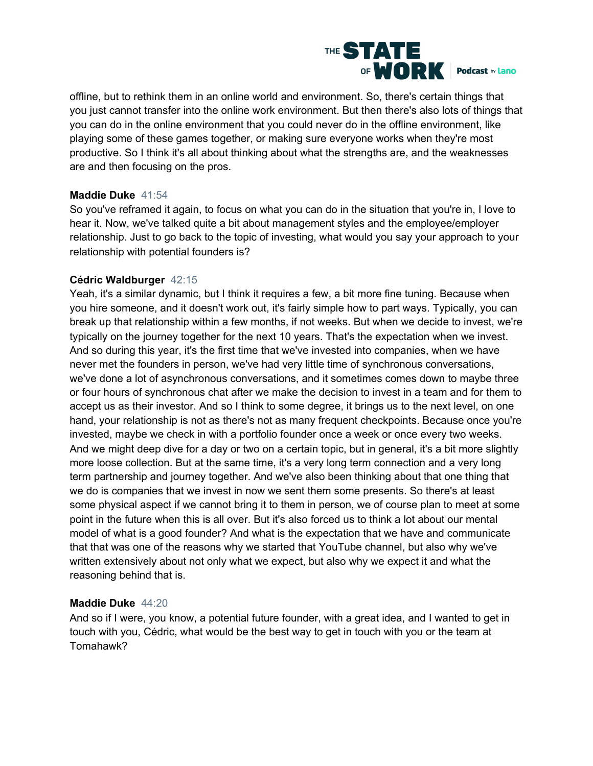

offline, but to rethink them in an online world and environment. So, there's certain things that you just cannot transfer into the online work environment. But then there's also lots of things that you can do in the online environment that you could never do in the offline environment, like playing some of these games together, or making sure everyone works when they're most productive. So I think it's all about thinking about what the strengths are, and the weaknesses are and then focusing on the pros.

# **Maddie Duke** 41:54

So you've reframed it again, to focus on what you can do in the situation that you're in, I love to hear it. Now, we've talked quite a bit about management styles and the employee/employer relationship. Just to go back to the topic of investing, what would you say your approach to your relationship with potential founders is?

#### **Cédric Waldburger** 42:15

Yeah, it's a similar dynamic, but I think it requires a few, a bit more fine tuning. Because when you hire someone, and it doesn't work out, it's fairly simple how to part ways. Typically, you can break up that relationship within a few months, if not weeks. But when we decide to invest, we're typically on the journey together for the next 10 years. That's the expectation when we invest. And so during this year, it's the first time that we've invested into companies, when we have never met the founders in person, we've had very little time of synchronous conversations, we've done a lot of asynchronous conversations, and it sometimes comes down to maybe three or four hours of synchronous chat after we make the decision to invest in a team and for them to accept us as their investor. And so I think to some degree, it brings us to the next level, on one hand, your relationship is not as there's not as many frequent checkpoints. Because once you're invested, maybe we check in with a portfolio founder once a week or once every two weeks. And we might deep dive for a day or two on a certain topic, but in general, it's a bit more slightly more loose collection. But at the same time, it's a very long term connection and a very long term partnership and journey together. And we've also been thinking about that one thing that we do is companies that we invest in now we sent them some presents. So there's at least some physical aspect if we cannot bring it to them in person, we of course plan to meet at some point in the future when this is all over. But it's also forced us to think a lot about our mental model of what is a good founder? And what is the expectation that we have and communicate that that was one of the reasons why we started that YouTube channel, but also why we've written extensively about not only what we expect, but also why we expect it and what the reasoning behind that is.

# **Maddie Duke** 44:20

And so if I were, you know, a potential future founder, with a great idea, and I wanted to get in touch with you, Cédric, what would be the best way to get in touch with you or the team at Tomahawk?